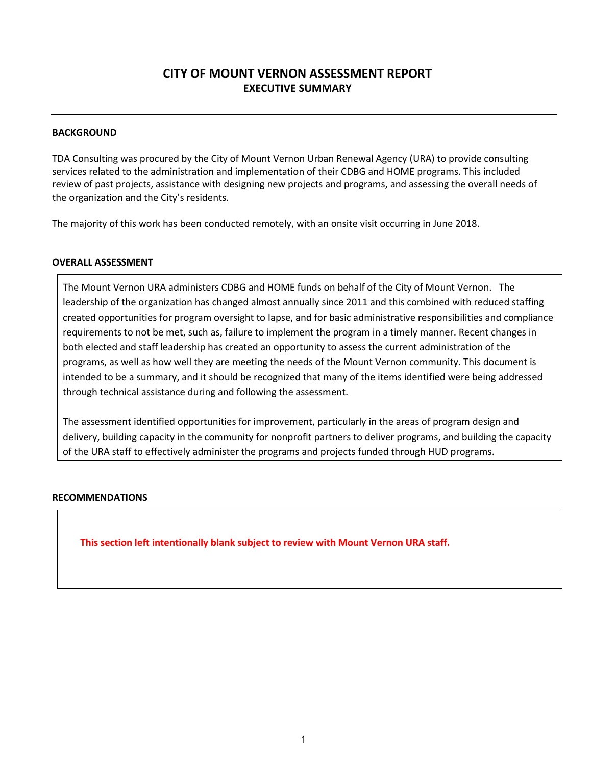# CITY OF MOUNT VERNON ASSESSMENT REPORT EXECUTIVE SUMMARY

#### **BACKGROUND**

TDA Consulting was procured by the City of Mount Vernon Urban Renewal Agency (URA) to provide consulting services related to the administration and implementation of their CDBG and HOME programs. This included review of past projects, assistance with designing new projects and programs, and assessing the overall needs of the organization and the City's residents.

The majority of this work has been conducted remotely, with an onsite visit occurring in June 2018.

#### OVERALL ASSESSMENT

The Mount Vernon URA administers CDBG and HOME funds on behalf of the City of Mount Vernon. The leadership of the organization has changed almost annually since 2011 and this combined with reduced staffing created opportunities for program oversight to lapse, and for basic administrative responsibilities and compliance requirements to not be met, such as, failure to implement the program in a timely manner. Recent changes in both elected and staff leadership has created an opportunity to assess the current administration of the programs, as well as how well they are meeting the needs of the Mount Vernon community. This document is intended to be a summary, and it should be recognized that many of the items identified were being addressed through technical assistance during and following the assessment.

The assessment identified opportunities for improvement, particularly in the areas of program design and delivery, building capacity in the community for nonprofit partners to deliver programs, and building the capacity of the URA staff to effectively administer the programs and projects funded through HUD programs.

#### RECOMMENDATIONS

This section left intentionally blank subject to review with Mount Vernon URA staff.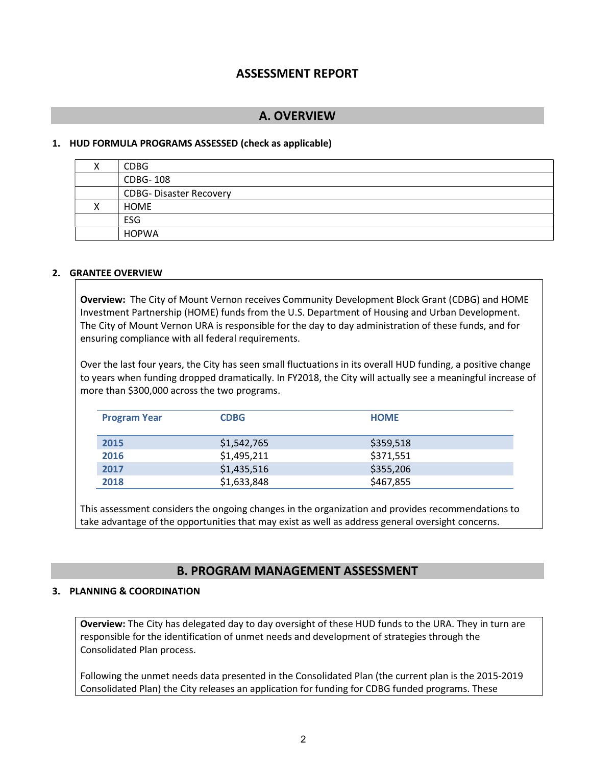# ASSESSMENT REPORT

## A. OVERVIEW

#### 1. HUD FORMULA PROGRAMS ASSESSED (check as applicable)

| <b>CDBG</b>                   |
|-------------------------------|
| <b>CDBG-108</b>               |
| <b>CDBG-Disaster Recovery</b> |
| HOME                          |
| <b>ESG</b>                    |
| <b>HOPWA</b>                  |

#### 2. GRANTEE OVERVIEW

Overview: The City of Mount Vernon receives Community Development Block Grant (CDBG) and HOME Investment Partnership (HOME) funds from the U.S. Department of Housing and Urban Development. The City of Mount Vernon URA is responsible for the day to day administration of these funds, and for ensuring compliance with all federal requirements.

Over the last four years, the City has seen small fluctuations in its overall HUD funding, a positive change to years when funding dropped dramatically. In FY2018, the City will actually see a meaningful increase of more than \$300,000 across the two programs.

| <b>Program Year</b> | <b>CDBG</b> | <b>HOME</b> |  |
|---------------------|-------------|-------------|--|
| 2015                | \$1,542,765 | \$359,518   |  |
| 2016                | \$1,495,211 | \$371,551   |  |
| 2017                | \$1,435,516 | \$355,206   |  |
| 2018                | \$1,633,848 | \$467,855   |  |

This assessment considers the ongoing changes in the organization and provides recommendations to take advantage of the opportunities that may exist as well as address general oversight concerns.

## B. PROGRAM MANAGEMENT ASSESSMENT

#### 3. PLANNING & COORDINATION

Overview: The City has delegated day to day oversight of these HUD funds to the URA. They in turn are responsible for the identification of unmet needs and development of strategies through the Consolidated Plan process.

Following the unmet needs data presented in the Consolidated Plan (the current plan is the 2015-2019 Consolidated Plan) the City releases an application for funding for CDBG funded programs. These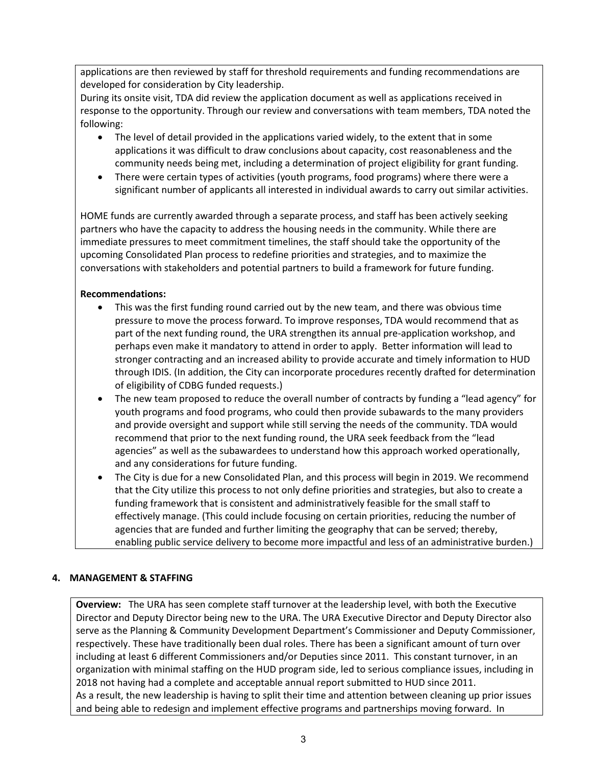applications are then reviewed by staff for threshold requirements and funding recommendations are developed for consideration by City leadership.

During its onsite visit, TDA did review the application document as well as applications received in response to the opportunity. Through our review and conversations with team members, TDA noted the following:

- The level of detail provided in the applications varied widely, to the extent that in some applications it was difficult to draw conclusions about capacity, cost reasonableness and the community needs being met, including a determination of project eligibility for grant funding.
- There were certain types of activities (youth programs, food programs) where there were a significant number of applicants all interested in individual awards to carry out similar activities.

HOME funds are currently awarded through a separate process, and staff has been actively seeking partners who have the capacity to address the housing needs in the community. While there are immediate pressures to meet commitment timelines, the staff should take the opportunity of the upcoming Consolidated Plan process to redefine priorities and strategies, and to maximize the conversations with stakeholders and potential partners to build a framework for future funding.

## Recommendations:

- This was the first funding round carried out by the new team, and there was obvious time pressure to move the process forward. To improve responses, TDA would recommend that as part of the next funding round, the URA strengthen its annual pre-application workshop, and perhaps even make it mandatory to attend in order to apply. Better information will lead to stronger contracting and an increased ability to provide accurate and timely information to HUD through IDIS. (In addition, the City can incorporate procedures recently drafted for determination of eligibility of CDBG funded requests.)
- The new team proposed to reduce the overall number of contracts by funding a "lead agency" for youth programs and food programs, who could then provide subawards to the many providers and provide oversight and support while still serving the needs of the community. TDA would recommend that prior to the next funding round, the URA seek feedback from the "lead agencies" as well as the subawardees to understand how this approach worked operationally, and any considerations for future funding.
- The City is due for a new Consolidated Plan, and this process will begin in 2019. We recommend that the City utilize this process to not only define priorities and strategies, but also to create a funding framework that is consistent and administratively feasible for the small staff to effectively manage. (This could include focusing on certain priorities, reducing the number of agencies that are funded and further limiting the geography that can be served; thereby, enabling public service delivery to become more impactful and less of an administrative burden.)

## 4. MANAGEMENT & STAFFING

**Overview:** The URA has seen complete staff turnover at the leadership level, with both the Executive Director and Deputy Director being new to the URA. The URA Executive Director and Deputy Director also serve as the Planning & Community Development Department's Commissioner and Deputy Commissioner, respectively. These have traditionally been dual roles. There has been a significant amount of turn over including at least 6 different Commissioners and/or Deputies since 2011. This constant turnover, in an organization with minimal staffing on the HUD program side, led to serious compliance issues, including in 2018 not having had a complete and acceptable annual report submitted to HUD since 2011. As a result, the new leadership is having to split their time and attention between cleaning up prior issues and being able to redesign and implement effective programs and partnerships moving forward. In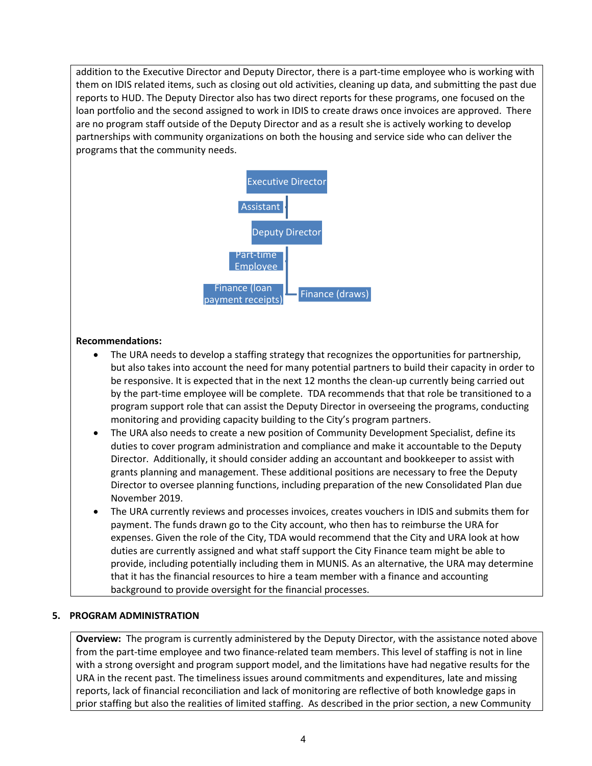addition to the Executive Director and Deputy Director, there is a part-time employee who is working with them on IDIS related items, such as closing out old activities, cleaning up data, and submitting the past due reports to HUD. The Deputy Director also has two direct reports for these programs, one focused on the loan portfolio and the second assigned to work in IDIS to create draws once invoices are approved. There are no program staff outside of the Deputy Director and as a result she is actively working to develop partnerships with community organizations on both the housing and service side who can deliver the programs that the community needs.



### Recommendations:

- The URA needs to develop a staffing strategy that recognizes the opportunities for partnership, but also takes into account the need for many potential partners to build their capacity in order to be responsive. It is expected that in the next 12 months the clean-up currently being carried out by the part-time employee will be complete. TDA recommends that that role be transitioned to a program support role that can assist the Deputy Director in overseeing the programs, conducting monitoring and providing capacity building to the City's program partners.
- The URA also needs to create a new position of Community Development Specialist, define its duties to cover program administration and compliance and make it accountable to the Deputy Director. Additionally, it should consider adding an accountant and bookkeeper to assist with grants planning and management. These additional positions are necessary to free the Deputy Director to oversee planning functions, including preparation of the new Consolidated Plan due November 2019.
- The URA currently reviews and processes invoices, creates vouchers in IDIS and submits them for payment. The funds drawn go to the City account, who then has to reimburse the URA for expenses. Given the role of the City, TDA would recommend that the City and URA look at how duties are currently assigned and what staff support the City Finance team might be able to provide, including potentially including them in MUNIS. As an alternative, the URA may determine that it has the financial resources to hire a team member with a finance and accounting background to provide oversight for the financial processes.

#### 5. PROGRAM ADMINISTRATION

Overview: The program is currently administered by the Deputy Director, with the assistance noted above from the part-time employee and two finance-related team members. This level of staffing is not in line with a strong oversight and program support model, and the limitations have had negative results for the URA in the recent past. The timeliness issues around commitments and expenditures, late and missing reports, lack of financial reconciliation and lack of monitoring are reflective of both knowledge gaps in prior staffing but also the realities of limited staffing. As described in the prior section, a new Community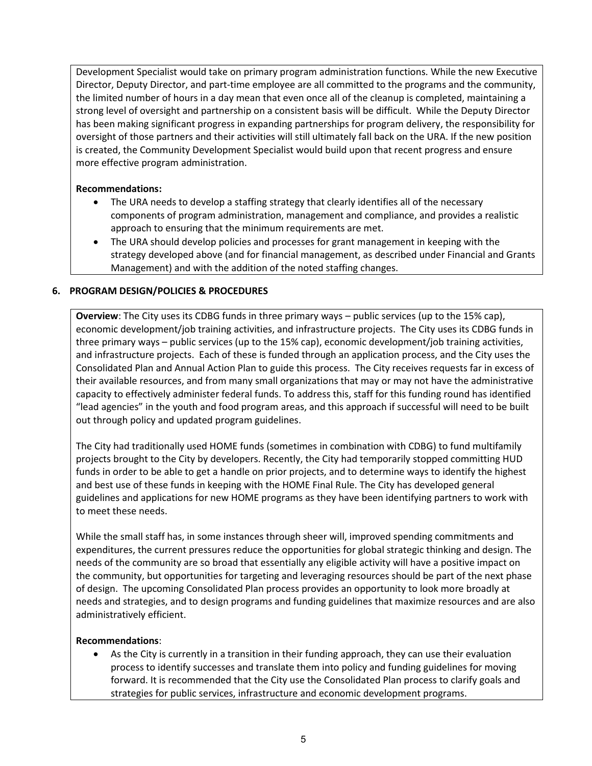Development Specialist would take on primary program administration functions. While the new Executive Director, Deputy Director, and part-time employee are all committed to the programs and the community, the limited number of hours in a day mean that even once all of the cleanup is completed, maintaining a strong level of oversight and partnership on a consistent basis will be difficult. While the Deputy Director has been making significant progress in expanding partnerships for program delivery, the responsibility for oversight of those partners and their activities will still ultimately fall back on the URA. If the new position is created, the Community Development Specialist would build upon that recent progress and ensure more effective program administration.

### Recommendations:

- The URA needs to develop a staffing strategy that clearly identifies all of the necessary components of program administration, management and compliance, and provides a realistic approach to ensuring that the minimum requirements are met.
- The URA should develop policies and processes for grant management in keeping with the strategy developed above (and for financial management, as described under Financial and Grants Management) and with the addition of the noted staffing changes.

### 6. PROGRAM DESIGN/POLICIES & PROCEDURES

Overview: The City uses its CDBG funds in three primary ways - public services (up to the 15% cap), economic development/job training activities, and infrastructure projects. The City uses its CDBG funds in three primary ways – public services (up to the 15% cap), economic development/job training activities, and infrastructure projects. Each of these is funded through an application process, and the City uses the Consolidated Plan and Annual Action Plan to guide this process. The City receives requests far in excess of their available resources, and from many small organizations that may or may not have the administrative capacity to effectively administer federal funds. To address this, staff for this funding round has identified "lead agencies" in the youth and food program areas, and this approach if successful will need to be built out through policy and updated program guidelines.

The City had traditionally used HOME funds (sometimes in combination with CDBG) to fund multifamily projects brought to the City by developers. Recently, the City had temporarily stopped committing HUD funds in order to be able to get a handle on prior projects, and to determine ways to identify the highest and best use of these funds in keeping with the HOME Final Rule. The City has developed general guidelines and applications for new HOME programs as they have been identifying partners to work with to meet these needs.

While the small staff has, in some instances through sheer will, improved spending commitments and expenditures, the current pressures reduce the opportunities for global strategic thinking and design. The needs of the community are so broad that essentially any eligible activity will have a positive impact on the community, but opportunities for targeting and leveraging resources should be part of the next phase of design. The upcoming Consolidated Plan process provides an opportunity to look more broadly at needs and strategies, and to design programs and funding guidelines that maximize resources and are also administratively efficient.

#### Recommendations:

 As the City is currently in a transition in their funding approach, they can use their evaluation process to identify successes and translate them into policy and funding guidelines for moving forward. It is recommended that the City use the Consolidated Plan process to clarify goals and strategies for public services, infrastructure and economic development programs.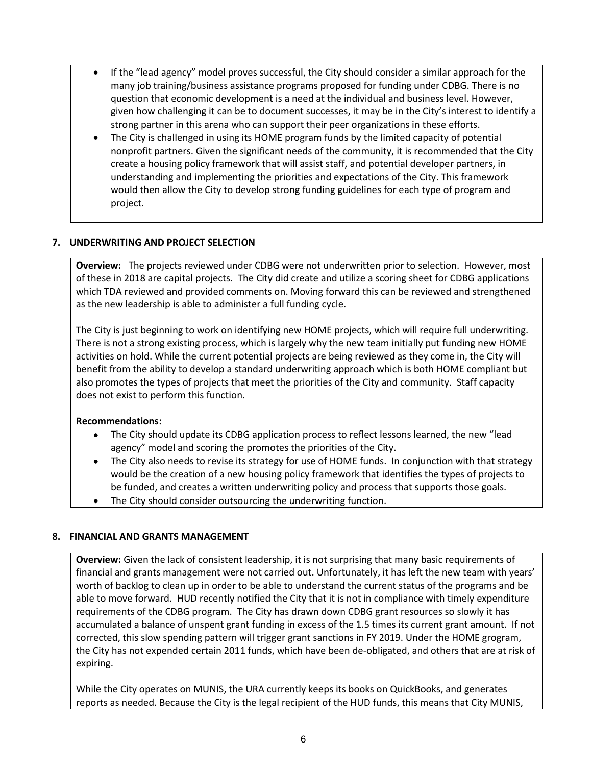- If the "lead agency" model proves successful, the City should consider a similar approach for the many job training/business assistance programs proposed for funding under CDBG. There is no question that economic development is a need at the individual and business level. However, given how challenging it can be to document successes, it may be in the City's interest to identify a strong partner in this arena who can support their peer organizations in these efforts.
- The City is challenged in using its HOME program funds by the limited capacity of potential nonprofit partners. Given the significant needs of the community, it is recommended that the City create a housing policy framework that will assist staff, and potential developer partners, in understanding and implementing the priorities and expectations of the City. This framework would then allow the City to develop strong funding guidelines for each type of program and project.

## 7. UNDERWRITING AND PROJECT SELECTION

Overview: The projects reviewed under CDBG were not underwritten prior to selection. However, most of these in 2018 are capital projects. The City did create and utilize a scoring sheet for CDBG applications which TDA reviewed and provided comments on. Moving forward this can be reviewed and strengthened as the new leadership is able to administer a full funding cycle.

The City is just beginning to work on identifying new HOME projects, which will require full underwriting. There is not a strong existing process, which is largely why the new team initially put funding new HOME activities on hold. While the current potential projects are being reviewed as they come in, the City will benefit from the ability to develop a standard underwriting approach which is both HOME compliant but also promotes the types of projects that meet the priorities of the City and community. Staff capacity does not exist to perform this function.

## Recommendations:

- The City should update its CDBG application process to reflect lessons learned, the new "lead agency" model and scoring the promotes the priorities of the City.
- The City also needs to revise its strategy for use of HOME funds. In conjunction with that strategy would be the creation of a new housing policy framework that identifies the types of projects to be funded, and creates a written underwriting policy and process that supports those goals.
- The City should consider outsourcing the underwriting function.

## 8. FINANCIAL AND GRANTS MANAGEMENT

Overview: Given the lack of consistent leadership, it is not surprising that many basic requirements of financial and grants management were not carried out. Unfortunately, it has left the new team with years' worth of backlog to clean up in order to be able to understand the current status of the programs and be able to move forward. HUD recently notified the City that it is not in compliance with timely expenditure requirements of the CDBG program. The City has drawn down CDBG grant resources so slowly it has accumulated a balance of unspent grant funding in excess of the 1.5 times its current grant amount. If not corrected, this slow spending pattern will trigger grant sanctions in FY 2019. Under the HOME grogram, the City has not expended certain 2011 funds, which have been de-obligated, and others that are at risk of expiring.

While the City operates on MUNIS, the URA currently keeps its books on QuickBooks, and generates reports as needed. Because the City is the legal recipient of the HUD funds, this means that City MUNIS,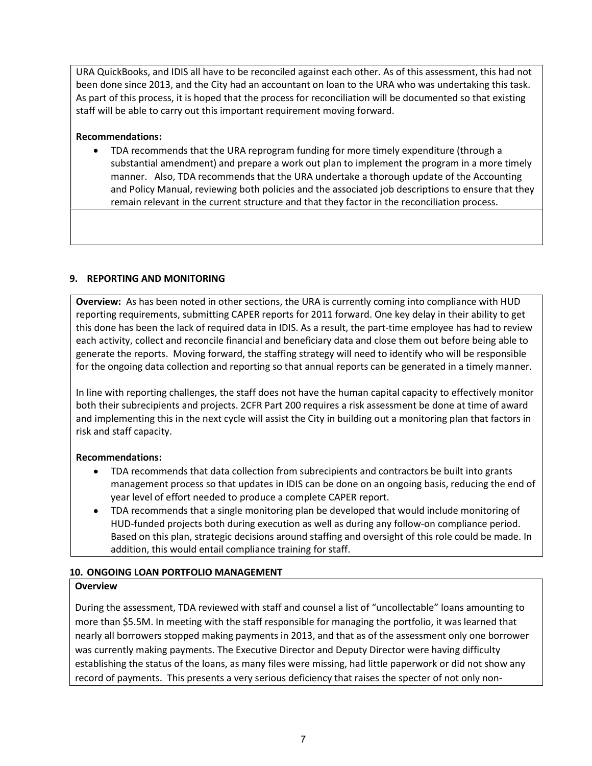URA QuickBooks, and IDIS all have to be reconciled against each other. As of this assessment, this had not been done since 2013, and the City had an accountant on loan to the URA who was undertaking this task. As part of this process, it is hoped that the process for reconciliation will be documented so that existing staff will be able to carry out this important requirement moving forward.

### Recommendations:

 TDA recommends that the URA reprogram funding for more timely expenditure (through a substantial amendment) and prepare a work out plan to implement the program in a more timely manner. Also, TDA recommends that the URA undertake a thorough update of the Accounting and Policy Manual, reviewing both policies and the associated job descriptions to ensure that they remain relevant in the current structure and that they factor in the reconciliation process.

### 9. REPORTING AND MONITORING

Overview: As has been noted in other sections, the URA is currently coming into compliance with HUD reporting requirements, submitting CAPER reports for 2011 forward. One key delay in their ability to get this done has been the lack of required data in IDIS. As a result, the part-time employee has had to review each activity, collect and reconcile financial and beneficiary data and close them out before being able to generate the reports. Moving forward, the staffing strategy will need to identify who will be responsible for the ongoing data collection and reporting so that annual reports can be generated in a timely manner.

In line with reporting challenges, the staff does not have the human capital capacity to effectively monitor both their subrecipients and projects. 2CFR Part 200 requires a risk assessment be done at time of award and implementing this in the next cycle will assist the City in building out a monitoring plan that factors in risk and staff capacity.

## Recommendations:

- TDA recommends that data collection from subrecipients and contractors be built into grants management process so that updates in IDIS can be done on an ongoing basis, reducing the end of year level of effort needed to produce a complete CAPER report.
- TDA recommends that a single monitoring plan be developed that would include monitoring of HUD-funded projects both during execution as well as during any follow-on compliance period. Based on this plan, strategic decisions around staffing and oversight of this role could be made. In addition, this would entail compliance training for staff.

## 10. ONGOING LOAN PORTFOLIO MANAGEMENT

#### **Overview**

During the assessment, TDA reviewed with staff and counsel a list of "uncollectable" loans amounting to more than \$5.5M. In meeting with the staff responsible for managing the portfolio, it was learned that nearly all borrowers stopped making payments in 2013, and that as of the assessment only one borrower was currently making payments. The Executive Director and Deputy Director were having difficulty establishing the status of the loans, as many files were missing, had little paperwork or did not show any record of payments. This presents a very serious deficiency that raises the specter of not only non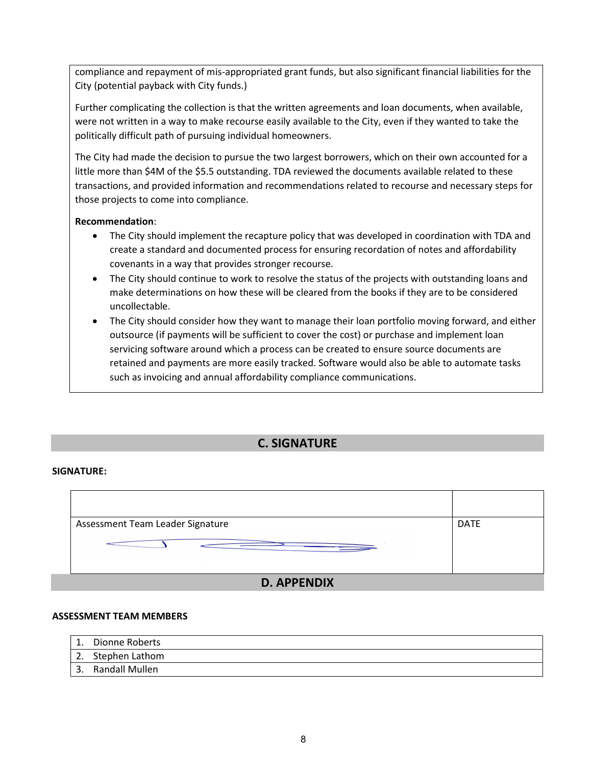compliance and repayment of mis-appropriated grant funds, but also significant financial liabilities for the City (potential payback with City funds.)

Further complicating the collection is that the written agreements and loan documents, when available, were not written in a way to make recourse easily available to the City, even if they wanted to take the politically difficult path of pursuing individual homeowners.

The City had made the decision to pursue the two largest borrowers, which on their own accounted for a little more than \$4M of the \$5.5 outstanding. TDA reviewed the documents available related to these transactions, and provided information and recommendations related to recourse and necessary steps for those projects to come into compliance.

### Recommendation:

- The City should implement the recapture policy that was developed in coordination with TDA and create a standard and documented process for ensuring recordation of notes and affordability covenants in a way that provides stronger recourse.
- The City should continue to work to resolve the status of the projects with outstanding loans and make determinations on how these will be cleared from the books if they are to be considered uncollectable.
- The City should consider how they want to manage their loan portfolio moving forward, and either outsource (if payments will be sufficient to cover the cost) or purchase and implement loan servicing software around which a process can be created to ensure source documents are retained and payments are more easily tracked. Software would also be able to automate tasks such as invoicing and annual affordability compliance communications.

# C. SIGNATURE

#### SIGNATURE:



#### ASSESSMENT TEAM MEMBERS

- 1. Dionne Roberts
- 2. Stephen Lathom
- 3. Randall Mullen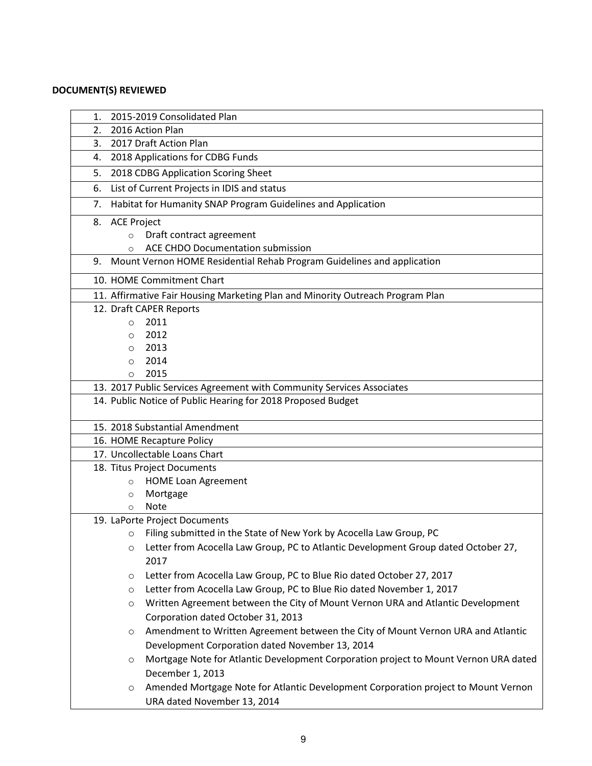# DOCUMENT(S) REVIEWED

| 1. |                              | 2015-2019 Consolidated Plan                                                          |  |  |  |
|----|------------------------------|--------------------------------------------------------------------------------------|--|--|--|
| 2. | 2016 Action Plan             |                                                                                      |  |  |  |
|    | 2017 Draft Action Plan<br>3. |                                                                                      |  |  |  |
| 4. |                              | 2018 Applications for CDBG Funds                                                     |  |  |  |
| 5. |                              | 2018 CDBG Application Scoring Sheet                                                  |  |  |  |
| 6. |                              | List of Current Projects in IDIS and status                                          |  |  |  |
| 7. |                              | Habitat for Humanity SNAP Program Guidelines and Application                         |  |  |  |
|    | 8. ACE Project               |                                                                                      |  |  |  |
|    | $\circ$                      | Draft contract agreement                                                             |  |  |  |
|    | $\circ$                      | <b>ACE CHDO Documentation submission</b>                                             |  |  |  |
| 9. |                              | Mount Vernon HOME Residential Rehab Program Guidelines and application               |  |  |  |
|    |                              | 10. HOME Commitment Chart                                                            |  |  |  |
|    |                              | 11. Affirmative Fair Housing Marketing Plan and Minority Outreach Program Plan       |  |  |  |
|    |                              | 12. Draft CAPER Reports                                                              |  |  |  |
|    | $\circ$                      | 2011                                                                                 |  |  |  |
|    | $\Omega$                     | 2012                                                                                 |  |  |  |
|    | O                            | 2013                                                                                 |  |  |  |
|    | $\circ$                      | 2014                                                                                 |  |  |  |
|    | $\circ$                      | 2015                                                                                 |  |  |  |
|    |                              | 13. 2017 Public Services Agreement with Community Services Associates                |  |  |  |
|    |                              | 14. Public Notice of Public Hearing for 2018 Proposed Budget                         |  |  |  |
|    |                              | 15. 2018 Substantial Amendment                                                       |  |  |  |
|    |                              | 16. HOME Recapture Policy                                                            |  |  |  |
|    |                              | 17. Uncollectable Loans Chart                                                        |  |  |  |
|    |                              | 18. Titus Project Documents                                                          |  |  |  |
|    | $\circ$                      | <b>HOME Loan Agreement</b>                                                           |  |  |  |
|    | $\circ$                      | Mortgage                                                                             |  |  |  |
|    | $\Omega$                     | <b>Note</b>                                                                          |  |  |  |
|    |                              | 19. LaPorte Project Documents                                                        |  |  |  |
|    | O                            | Filing submitted in the State of New York by Acocella Law Group, PC                  |  |  |  |
|    | O                            | Letter from Acocella Law Group, PC to Atlantic Development Group dated October 27,   |  |  |  |
|    |                              | 2017                                                                                 |  |  |  |
|    | $\circ$                      | Letter from Acocella Law Group, PC to Blue Rio dated October 27, 2017                |  |  |  |
|    | O                            | Letter from Acocella Law Group, PC to Blue Rio dated November 1, 2017                |  |  |  |
|    | $\circ$                      | Written Agreement between the City of Mount Vernon URA and Atlantic Development      |  |  |  |
|    |                              | Corporation dated October 31, 2013                                                   |  |  |  |
|    | $\circ$                      | Amendment to Written Agreement between the City of Mount Vernon URA and Atlantic     |  |  |  |
|    |                              | Development Corporation dated November 13, 2014                                      |  |  |  |
|    | O                            | Mortgage Note for Atlantic Development Corporation project to Mount Vernon URA dated |  |  |  |
|    |                              | December 1, 2013                                                                     |  |  |  |
|    | O                            | Amended Mortgage Note for Atlantic Development Corporation project to Mount Vernon   |  |  |  |
|    |                              | URA dated November 13, 2014                                                          |  |  |  |